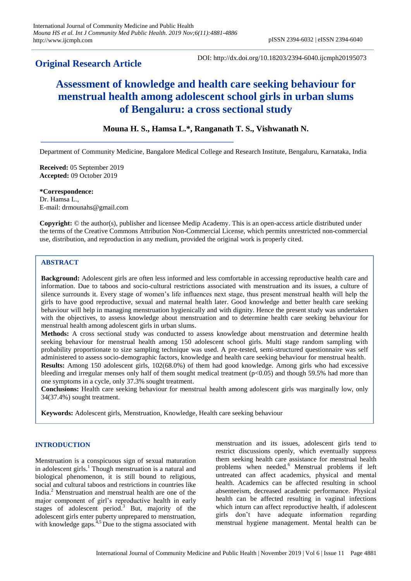## **Original Research Article**

DOI: http://dx.doi.org/10.18203/2394-6040.ijcmph20195073

# **Assessment of knowledge and health care seeking behaviour for menstrual health among adolescent school girls in urban slums of Bengaluru: a cross sectional study**

## **Mouna H. S., Hamsa L.\*, Ranganath T. S., Vishwanath N.**

Department of Community Medicine, Bangalore Medical College and Research Institute, Bengaluru, Karnataka, India

**Received:** 05 September 2019 **Accepted:** 09 October 2019

**\*Correspondence:** Dr. Hamsa L., E-mail: drmounahs@gmail.com

**Copyright:** © the author(s), publisher and licensee Medip Academy. This is an open-access article distributed under the terms of the Creative Commons Attribution Non-Commercial License, which permits unrestricted non-commercial use, distribution, and reproduction in any medium, provided the original work is properly cited.

## **ABSTRACT**

**Background:** Adolescent girls are often less informed and less comfortable in accessing reproductive health care and information. Due to taboos and socio-cultural restrictions associated with menstruation and its issues, a culture of silence surrounds it. Every stage of women's life influences next stage, thus present menstrual health will help the girls to have good reproductive, sexual and maternal health later. Good knowledge and better health care seeking behaviour will help in managing menstruation hygienically and with dignity. Hence the present study was undertaken with the objectives, to assess knowledge about menstruation and to determine health care seeking behaviour for menstrual health among adolescent girls in urban slums.

**Methods:** A cross sectional study was conducted to assess knowledge about menstruation and determine health seeking behaviour for menstrual health among 150 adolescent school girls. Multi stage random sampling with probability proportionate to size sampling technique was used. A pre-tested, semi-structured questionnaire was self administered to assess socio-demographic factors, knowledge and health care seeking behaviour for menstrual health.

**Results:** Among 150 adolescent girls, 102(68.0%) of them had good knowledge. Among girls who had excessive bleeding and irregular menses only half of them sought medical treatment (p<0.05) and though 59.5% had more than one symptoms in a cycle, only 37.3% sought treatment.

**Conclusions:** Health care seeking behaviour for menstrual health among adolescent girls was marginally low, only 34(37.4%) sought treatment.

**Keywords:** Adolescent girls, Menstruation, Knowledge, Health care seeking behaviour

#### **INTRODUCTION**

Menstruation is a conspicuous sign of sexual maturation in adolescent girls.<sup>1</sup> Though menstruation is a natural and biological phenomenon, it is still bound to religious, social and cultural taboos and restrictions in countries like India.<sup>2</sup> Menstruation and menstrual health are one of the major component of girl's reproductive health in early stages of adolescent period.<sup>3</sup> But, majority of the adolescent girls enter puberty unprepared to menstruation, with knowledge gaps. $^{4,5}$  Due to the stigma associated with

menstruation and its issues, adolescent girls tend to restrict discussions openly, which eventually suppress them seeking health care assistance for menstrual health problems when needed.<sup>6</sup> Menstrual problems if left untreated can affect academics, physical and mental health. Academics can be affected resulting in school absenteeism, decreased academic performance. Physical health can be affected resulting in vaginal infections which inturn can affect reproductive health, if adolescent girls don't have adequate information regarding menstrual hygiene management. Mental health can be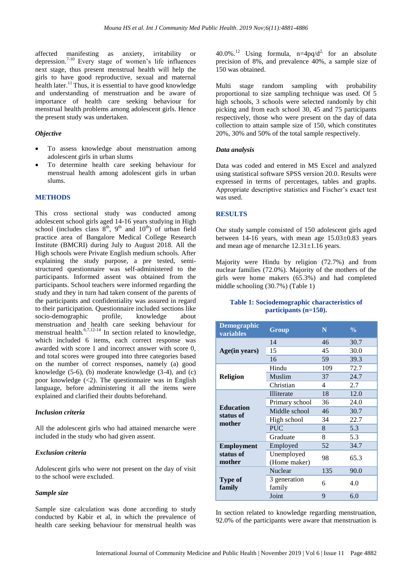affected manifesting as anxiety, irritability or depression.<sup>7-10</sup> Every stage of women's life influences next stage, thus present menstrual health will help the girls to have good reproductive, sexual and maternal health later.<sup>11</sup> Thus, it is essential to have good knowledge and understanding of menstruation and be aware of importance of health care seeking behaviour for menstrual health problems among adolescent girls. Hence the present study was undertaken.

#### *Objective*

- To assess knowledge about menstruation among adolescent girls in urban slums
- To determine health care seeking behaviour for menstrual health among adolescent girls in urban slums.

#### **METHODS**

This cross sectional study was conducted among adolescent school girls aged 14-16 years studying in High school (includes class  $8<sup>th</sup>$ ,  $9<sup>th</sup>$  and  $10<sup>th</sup>$ ) of urban field practice area of Bangalore Medical College Research Institute (BMCRI) during July to August 2018. All the High schools were Private English medium schools. After explaining the study purpose, a pre tested, semistructured questionnaire was self-administered to the participants. Informed assent was obtained from the participants. School teachers were informed regarding the study and they in turn had taken consent of the parents of the participants and confidentiality was assured in regard to their participation. Questionnaire included sections like socio-demographic profile, knowledge about menstruation and health care seeking behaviour for menstrual health. $6,7,12-14$  In section related to knowledge, which included 6 items, each correct response was awarded with score 1 and incorrect answer with score 0, and total scores were grouped into three categories based on the number of correct responses, namely (a) good knowledge (5-6), (b) moderate knowledge (3-4), and (c) poor knowledge  $\left( \langle 2 \rangle \right)$ . The questionnaire was in English language, before administering it all the items were explained and clarified their doubts beforehand.

#### *Inclusion criteria*

All the adolescent girls who had attained menarche were included in the study who had given assent.

#### *Exclusion criteria*

Adolescent girls who were not present on the day of visit to the school were excluded.

#### *Sample size*

Sample size calculation was done according to study conducted by Kabir et al, in which the prevalence of health care seeking behaviour for menstrual health was 40.0%.<sup>12</sup> Using formula,  $n=4pq/d^2$  for an absolute precision of 8%, and prevalence 40%, a sample size of 150 was obtained.

Multi stage random sampling with probability proportional to size sampling technique was used. Of 5 high schools, 3 schools were selected randomly by chit picking and from each school 30, 45 and 75 participants respectively, those who were present on the day of data collection to attain sample size of 150, which constitutes 20%, 30% and 50% of the total sample respectively.

#### *Data analysis*

Data was coded and entered in MS Excel and analyzed using statistical software SPSS version 20.0. Results were expressed in terms of percentages, tables and graphs. Appropriate descriptive statistics and Fischer's exact test was used.

#### **RESULTS**

Our study sample consisted of 150 adolescent girls aged between 14-16 years, with mean age  $15.03\pm0.83$  years and mean age of menarche 12.31±1.16 years.

Majority were Hindu by religion (72.7%) and from nuclear families (72.0%). Majority of the mothers of the girls were home makers (65.3%) and had completed middle schooling (30.7%) (Table 1)

### **Table 1: Sociodemographic characteristics of participants (n=150).**

| <b>Demographic</b><br>variables         | Group                      | $\mathbf N$ | $\frac{0}{0}$ |
|-----------------------------------------|----------------------------|-------------|---------------|
| Age(in years)                           | 14                         | 46          | 30.7          |
|                                         | 15                         | 45          | 30.0          |
|                                         | 16                         | 59          | 39.3          |
|                                         | Hindu                      | 109         | 72.7          |
| Religion                                | Muslim                     | 37          | 24.7          |
|                                         | Christian                  | 4           | 2.7           |
|                                         | Illiterate                 | 18          | 12.0          |
|                                         | Primary school             | 36          | 24.0          |
| <b>Education</b><br>status of<br>mother | Middle school              | 46          | 30.7          |
|                                         | High school                | 34          | 22.7          |
|                                         | <b>PUC</b>                 | 8           | 5.3           |
|                                         | Graduate                   | 8           | 5.3           |
| <b>Employment</b>                       | Employed                   | 52          | 34.7          |
| status of<br>mother                     | Unemployed<br>(Home maker) | 98          | 65.3          |
|                                         | Nuclear                    | 135         | 90.0          |
| Type of<br>family                       | 3 generation<br>family     | 6           | 4.0           |
|                                         | Joint                      | 9           | 6.0           |

In section related to knowledge regarding menstruation, 92.0% of the participants were aware that menstruation is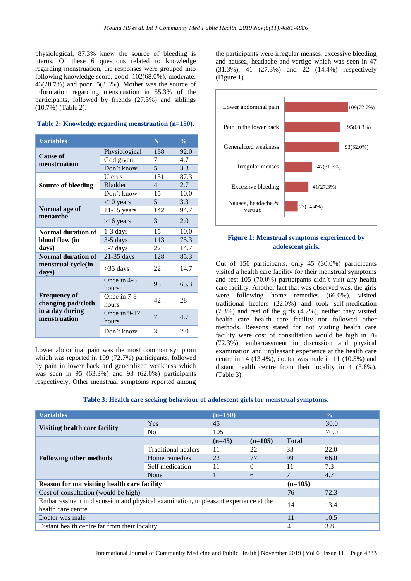physiological, 87.3% knew the source of bleeding is uterus. Of these 6 questions related to knowledge regarding menstruation, the responses were grouped into following knowledge score, good: 102(68.0%), moderate: 43(28.7%) and poor: 5(3.3%). Mother was the source of information regarding menstruation in 55.3% of the participants, followed by friends (27.3%) and siblings (10.7%) (Table 2).

|  |  | Table 2: Knowledge regarding menstruation (n=150). |  |
|--|--|----------------------------------------------------|--|
|  |  |                                                    |  |

| <b>Variables</b>                                                             |                              | N                        | $\frac{0}{\alpha}$ |  |
|------------------------------------------------------------------------------|------------------------------|--------------------------|--------------------|--|
| <b>Cause of</b>                                                              | Physiological                | 138                      | 92.0               |  |
| menstruation                                                                 | God given                    | 7                        | 4.7                |  |
|                                                                              | Don't know                   | 5                        | 3.3                |  |
|                                                                              | Uterus                       | 131                      | 87.3               |  |
| Source of bleeding                                                           | <b>Bladder</b>               | $\overline{\mathcal{A}}$ | 2.7                |  |
|                                                                              | Don't know                   | 15                       | 10.0               |  |
|                                                                              | $<$ 10 years                 | 5                        | 3.3                |  |
| Normal age of                                                                | $11-15$ years                | 142                      | 94.7               |  |
| menarche                                                                     | $>16$ years                  | 3                        | 2.0                |  |
| Normal duration of                                                           | $1-3$ days                   | 15                       | 10.0               |  |
| blood flow (in                                                               | $3-5$ days                   | 113                      | 75.3               |  |
| days)                                                                        | $5-7$ days                   | 22                       | 14.7               |  |
| <b>Normal duration of</b>                                                    | 21-35 days                   | 128                      | 85.3               |  |
| menstrual cycle(in<br>days)                                                  | $>35$ days                   | 22                       | 14.7               |  |
|                                                                              | Once in 4-6                  | 98                       | 65.3               |  |
|                                                                              | hours                        |                          |                    |  |
| <b>Frequency of</b><br>changing pad/cloth<br>in a day during<br>menstruation | Once in 7-8<br>42<br>hours   |                          | 28                 |  |
|                                                                              | Once in $9-12$<br>7<br>hours |                          | 4.7                |  |
|                                                                              | Don't know                   | 3                        | 2.0                |  |

Lower abdominal pain was the most common symptom which was reported in 109 (72.7%) participants, followed by pain in lower back and generalized weakness which was seen in 95 (63.3%) and 93 (62.0%) participants respectively. Other menstrual symptoms reported among

the participants were irregular menses, excessive bleeding and nausea, headache and vertigo which was seen in 47 (31.3%), 41 (27.3%) and 22 (14.4%) respectively (Figure 1).



## **Figure 1: Menstrual symptoms experienced by adolescent girls.**

Out of 150 participants, only 45 (30.0%) participants visited a health care facility for their menstrual symptoms and rest 105 (70.0%) participants didn't visit any health care facility. Another fact that was observed was, the girls were following home remedies (66.0%), visited traditional healers (22.0%) and took self-medication (7.3%) and rest of the girls (4.7%), neither they visited health care health care facility nor followed other methods. Reasons stated for not visiting health care facility were cost of consultation would be high in 76 (72.3%), embarrassment in discussion and physical examination and unpleasant experience at the health care centre in 14 (13.4%), doctor was male in 11 (10.5%) and distant health centre from their locality in 4 (3.8%). (Table 3).

|  | Table 3: Health care seeking behaviour of adolescent girls for menstrual symptoms. |
|--|------------------------------------------------------------------------------------|
|--|------------------------------------------------------------------------------------|

| <b>Variables</b>                                                                   |                            | $(n=150)$ |           |              | $\frac{0}{0}$ |
|------------------------------------------------------------------------------------|----------------------------|-----------|-----------|--------------|---------------|
| <b>Visiting health care facility</b>                                               | Yes                        | 45        |           |              | 30.0          |
|                                                                                    | N <sub>o</sub>             | 105       |           |              | 70.0          |
|                                                                                    |                            | $(n=45)$  | $(n=105)$ | <b>Total</b> |               |
|                                                                                    | <b>Traditional healers</b> | 11        | 22        | 33           | 22.0          |
| <b>Following other methods</b>                                                     | Home remedies              | 22        | 77        | 99           | 66.0          |
|                                                                                    | Self medication            | 11        | 0         | 11           | 7.3           |
|                                                                                    | None                       |           | 6         | ⇁            | 4.7           |
| Reason for not visiting health care facility                                       |                            |           | $(n=105)$ |              |               |
| Cost of consultation (would be high)                                               |                            |           | 76        | 72.3         |               |
| Embarrassment in discussion and physical examination, unpleasant experience at the |                            |           | 14        | 13.4         |               |
| health care centre                                                                 |                            |           |           |              |               |
| Doctor was male                                                                    |                            |           | 11        | 10.5         |               |
| Distant health centre far from their locality                                      |                            |           |           | 3.8          |               |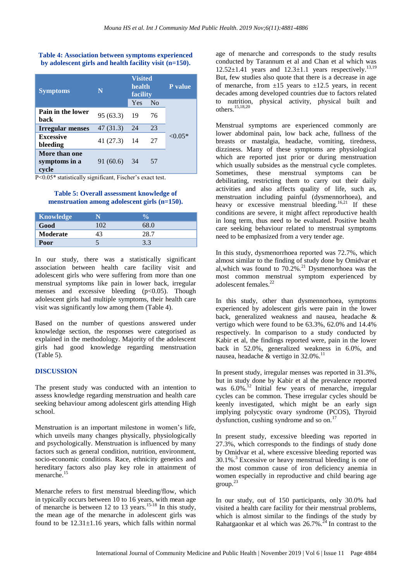#### **Table 4: Association between symptoms experienced by adolescent girls and health facility visit (n=150).**

| <b>Symptoms</b>                         | N         | <b>Visited</b><br>health<br>facility |    | <b>P</b> value |
|-----------------------------------------|-----------|--------------------------------------|----|----------------|
|                                         |           | Yes                                  | No |                |
| Pain in the lower<br>back               | 95 (63.3) | 19                                   | 76 |                |
| <b>Irregular menses</b>                 | 47 (31.3) | 24                                   | 23 |                |
| <b>Excessive</b><br>bleeding            | 41 (27.3) | 14                                   | 27 | $< 0.05*$      |
| More than one<br>symptoms in a<br>cvcle | 91 (60.6) | 34                                   | 57 |                |

P<0.05\* statistically significant, Fischer's exact test.

#### **Table 5: Overall assessment knowledge of menstruation among adolescent girls (n=150).**

| Knowledge       |  |  |
|-----------------|--|--|
| Good            |  |  |
| <b>Moderate</b> |  |  |
| Poor            |  |  |

In our study, there was a statistically significant association between health care facility visit and adolescent girls who were suffering from more than one menstrual symptoms like pain in lower back, irregular menses and excessive bleeding  $(p<0.05)$ . Though adolescent girls had multiple symptoms, their health care visit was significantly low among them (Table 4).

Based on the number of questions answered under knowledge section, the responses were categorised as explained in the methodology. Majority of the adolescent girls had good knowledge regarding menstruation (Table 5).

#### **DISCUSSION**

The present study was conducted with an intention to assess knowledge regarding menstruation and health care seeking behaviour among adolescent girls attending High school.

Menstruation is an important milestone in women's life, which unveils many changes physically, physiologically and psychologically. Menstruation is influenced by many factors such as general condition, nutrition, environment, socio-economic conditions. Race, ethnicity genetics and hereditary factors also play key role in attainment of menarche.<sup>15</sup>

Menarche refers to first menstrual bleeding/flow, which in typically occurs between 10 to 16 years, with mean age of menarche is between 12 to 13 years.<sup>15-18</sup> In this study, the mean age of the menarche in adolescent girls was found to be  $12.31 \pm 1.16$  years, which falls within normal

age of menarche and corresponds to the study results conducted by Tarannum et al and Chan et al which was  $12.52 \pm 1.41$  years and  $12.3 \pm 1.1$  years respectively.<sup>13,19</sup> But, few studies also quote that there is a decrease in age of menarche, from  $\pm 15$  years to  $\pm 12.5$  years, in recent decades among developed countries due to factors related to nutrition, physical activity, physical built and others.15,18,20

Menstrual symptoms are experienced commonly are lower abdominal pain, low back ache, fullness of the breasts or mastalgia, headache, vomiting, tiredness, dizziness. Many of these symptoms are physiological which are reported just prior or during menstruation which usually subsides as the menstrual cycle completes. Sometimes, these menstrual symptoms can be debilitating, restricting them to carry out their daily activities and also affects quality of life, such as, menstruation including painful (dysmennorhoea), and heavy or excessive menstrual bleeding.<sup>16,21</sup> If these conditions are severe, it might affect reproductive health in long term, thus need to be evaluated. Positive health care seeking behaviour related to menstrual symptoms need to be emphasized from a very tender age.

In this study, dysmenorrhoea reported was 72.7%, which almost similar to the finding of study done by Omidvar et al, which was found to  $70.2\%$ .<sup>21</sup> Dysmenorrhoea was the most common menstrual symptom experienced by adolescent females.<sup>22</sup>

In this study, other than dysmennorhoea, symptoms experienced by adolescent girls were pain in the lower back, generalized weakness and nausea, headache & vertigo which were found to be 63.3%, 62.0% and 14.4% respectively. In comparison to a study conducted by Kabir et al, the findings reported were, pain in the lower back in 52.0%, generalized weakness in 6.0%, and nausea, headache & vertigo in 32.0%.<sup>11</sup>

In present study, irregular menses was reported in 31.3%, but in study done by Kabir et al the prevalence reported was 6.0%.<sup>12</sup> Initial few years of menarche, irregular cycles can be common. These irregular cycles should be keenly investigated, which might be an early sign implying polycystic ovary syndrome (PCOS), Thyroid dysfunction, cushing syndrome and so on. $^{17}$ 

In present study, excessive bleeding was reported in 27.3%, which corresponds to the findings of study done by Omidvar et al, where excessive bleeding reported was  $30.1\%$ <sup>3</sup> Excessive or heavy menstrual bleeding is one of the most common cause of iron deficiency anemia in women especially in reproductive and child bearing age group.<sup>23</sup>

In our study, out of 150 participants, only 30.0% had visited a health care facility for their menstrual problems, which is almost similar to the findings of the study by Rahatgaonkar et al which was  $26.7\%$ .<sup>24</sup> In contrast to the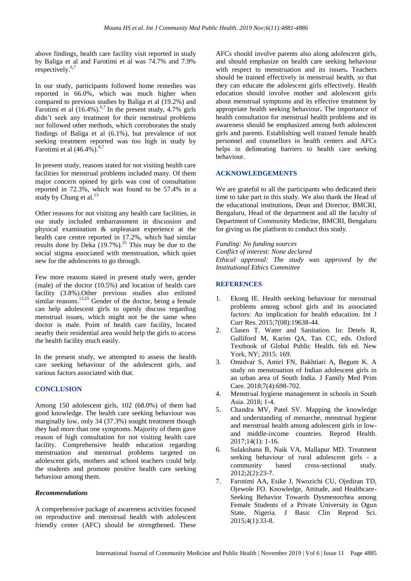above findings, health care facility visit reported in study by Baliga et al and Farotimi et al was 74.7% and 7.9% respectively.<sup>6,7</sup>

In our study, participants followed home remedies was reported in 66.0%, which was much higher when compared to previous studies by Baliga et al (19.2%) and Farotimi et al  $(16.4\%)$ .<sup>6,7</sup> In the present study, 4.7% girls didn't seek any treatment for their menstrual problems nor followed other methods, which corroborates the study findings of Baliga et al (6.1%), but prevalence of not seeking treatment reported was too high in study by Farotimi et al  $(46.4\%)$ .<sup>6,7</sup>

In present study, reasons stated for not visiting health care facilities for menstrual problems included many. Of them major concern opined by girls was cost of consultation reported in 72.3%, which was found to be 57.4% in a study by Chung et al.<sup>13</sup>

Other reasons for not visiting any health care facilities, in our study included embarrassment in discussion and physical examination & unpleasant experience at the health care centre reported in 17.2%, which had similar results done by Deka  $(19.7\%)$ .<sup>25</sup> This may be due to the social stigma associated with menstruation, which quiet new for the adolescents to go through.

Few more reasons stated in present study were, gender (male) of the doctor (10.5%) and location of health care facility (3.8%).Other previous studies also enlisted similar reasons.<sup>13,25</sup> Gender of the doctor, being a female can help adolescent girls to openly discuss regarding menstrual issues, which might not be the same when doctor is male. Point of health care facility, located nearby their residential area would help the girls to access the health facility much easily.

In the present study, we attempted to assess the health care seeking behaviour of the adolescent girls, and various factors associated with that.

## **CONCLUSION**

Among 150 adolescent girls, 102 (68.0%) of them had good knowledge. The health care seeking behaviour was marginally low, only 34 (37.3%) sought treatment though they had more than one symptoms. Majority of them gave reason of high consultation for not visiting health care facility. Comprehensive health education regarding menstruation and menstrual problems targeted on adolescent girls, mothers and school teachers could help the students and promote positive health care seeking behaviour among them.

#### *Recommendations*

A comprehensive package of awareness activities focused on reproductive and menstrual health with adolescent friendly center (AFC) should be strengthened. These

AFCs should involve parents also along adolescent girls, and should emphasize on health care seeking behaviour with respect to menstruation and its issues**.** Teachers should be trained effectively in menstrual health, so that they can educate the adolescent girls effectively. Health education should involve mother and adolescent girls about menstrual symptoms and its effective treatment by appropriate health seeking behaviour**.** The importance of health consultation for menstrual health problems and its awareness should be emphasized among both adolescent girls and parents. Establishing well trained female health personnel and counsellors in health centers and AFCs helps in delineating barriers to health care seeking behaviour.

#### **ACKNOWLEDGEMENTS**

We are grateful to all the participants who dedicated their time to take part in this study. We also thank the Head of the educational institutions, Dean and Director, BMCRI, Bengaluru, Head of the department and all the faculty of Department of Community Medicine, BMCRI, Bengaluru for giving us the platform to conduct this study.

*Funding: No funding sources Conflict of interest: None declared Ethical approval: The study was approved by the Institutional Ethics Committee*

#### **REFERENCES**

- 1. Ekong IE. Health seeking behaviour for menstrual problems among school girls and its associated factors: An implication for health education. Int J Curr Res. 2015;7(08):19638-44.
- 2. Clasen T. Water and Sanitation. In: Detels R, Gulliford M, Karim QA, Tan CC, eds. Oxford Textbook of Global Public Health. 6th ed. New York, NY; 2015: 169.
- 3. Omidvar S, Amiri FN, Bakhtiari A, Begum K. A study on menstruation of Indian adolescent girls in an urban area of South India. J Family Med Prim Care. 2018;7(4):698-702.
- 4. Menstrual hygiene management in schools in South Asia. 2018; 1-4.
- 5. Chandra MV, Patel SV. Mapping the knowledge and understanding of menarche, menstrual hygiene and menstrual health among adolescent girls in lowand middle-income countries. Reprod Health. 2017;14(1): 1-16.
- 6. Sulakshana B, Naik VA, Mallapur MD. Treatment seeking behaviour of rural adolescent girls - a community based cross-sectional study. 2012;2(2):23-7.
- 7. Farotimi AA, Esike J, Nwozichi CU, Ojediran TD, Ojewole FO. Knowledge, Attitude, and Healthcare-Seeking Behavior Towards Dysmenorrhea among Female Students of a Private University in Ogun State, Nigeria. J Basic Clin Reprod Sci. 2015;4(1):33-8.